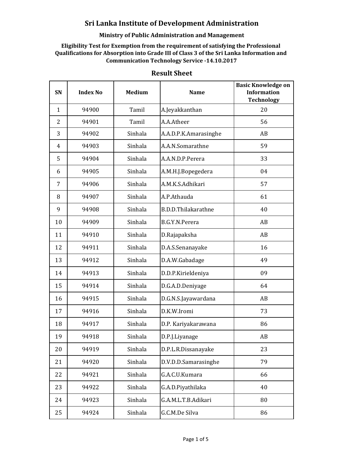## **Ministry of Public Administration and Management**

**Eligibility Test for Exemption from the requirement of satisfying the Professional Qualifications for Absorption into Grade III of Class 3 of the Sri Lanka Information and Communication Technology Service -14.10.2017**

| SN             | <b>Index No</b> | <b>Medium</b> | <b>Name</b>           | <b>Basic Knowledge on</b><br><b>Information</b><br><b>Technology</b> |
|----------------|-----------------|---------------|-----------------------|----------------------------------------------------------------------|
| $\mathbf{1}$   | 94900           | Tamil         | A.Jeyakkanthan        | 20                                                                   |
| $\overline{2}$ | 94901           | Tamil         | A.A.Atheer            | 56                                                                   |
| 3              | 94902           | Sinhala       | A.A.D.P.K.Amarasinghe | AB                                                                   |
| $\overline{4}$ | 94903           | Sinhala       | A.A.N.Somarathne      | 59                                                                   |
| 5              | 94904           | Sinhala       | A.A.N.D.P.Perera      | 33                                                                   |
| 6              | 94905           | Sinhala       | A.M.H.J.Bopegedera    | 04                                                                   |
| $\overline{7}$ | 94906           | Sinhala       | A.M.K.S.Adhikari      | 57                                                                   |
| 8              | 94907           | Sinhala       | A.P.Athauda           | 61                                                                   |
| 9              | 94908           | Sinhala       | B.D.D.Thilakarathne   | 40                                                                   |
| 10             | 94909           | Sinhala       | B.G.Y.N.Perera        | AB                                                                   |
| 11             | 94910           | Sinhala       | D.Rajapaksha          | AB                                                                   |
| 12             | 94911           | Sinhala       | D.A.S.Senanayake      | 16                                                                   |
| 13             | 94912           | Sinhala       | D.A.W.Gabadage        | 49                                                                   |
| 14             | 94913           | Sinhala       | D.D.P.Kirieldeniya    | 09                                                                   |
| 15             | 94914           | Sinhala       | D.G.A.D.Deniyage      | 64                                                                   |
| 16             | 94915           | Sinhala       | D.G.N.S.Jayawardana   | AB                                                                   |
| 17             | 94916           | Sinhala       | D.K.W.Iromi           | 73                                                                   |
| 18             | 94917           | Sinhala       | D.P. Kariyakarawana   | 86                                                                   |
| 19             | 94918           | Sinhala       | D.P.J.Liyanage        | AB                                                                   |
| 20             | 94919           | Sinhala       | D.P.L.R.Dissanayake   | 23                                                                   |
| 21             | 94920           | Sinhala       | D.V.D.D.Samarasinghe  | 79                                                                   |
| 22             | 94921           | Sinhala       | G.A.C.U.Kumara        | 66                                                                   |
| 23             | 94922           | Sinhala       | G.A.D.Piyathilaka     | 40                                                                   |
| 24             | 94923           | Sinhala       | G.A.M.L.T.B.Adikari   | 80                                                                   |
| 25             | 94924           | Sinhala       | G.C.M.De Silva        | 86                                                                   |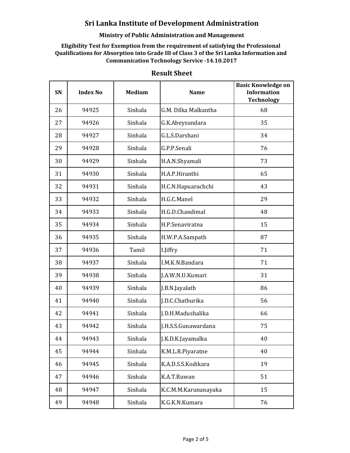## **Ministry of Public Administration and Management**

**Eligibility Test for Exemption from the requirement of satisfying the Professional Qualifications for Absorption into Grade III of Class 3 of the Sri Lanka Information and Communication Technology Service -14.10.2017**

| SN | <b>Index No</b> | <b>Medium</b> | <b>Name</b>          | <b>Basic Knowledge on</b><br><b>Information</b><br><b>Technology</b> |
|----|-----------------|---------------|----------------------|----------------------------------------------------------------------|
| 26 | 94925           | Sinhala       | G.M. Dilka Malkantha | 68                                                                   |
| 27 | 94926           | Sinhala       | G.K.Abeysundara      | 35                                                                   |
| 28 | 94927           | Sinhala       | G.L.S.Darshani       | 34                                                                   |
| 29 | 94928           | Sinhala       | G.P.P.Senali         | 76                                                                   |
| 30 | 94929           | Sinhala       | H.A.N.Shyamali       | 73                                                                   |
| 31 | 94930           | Sinhala       | H.A.P.Hiranthi       | 65                                                                   |
| 32 | 94931           | Sinhala       | H.C.N.Hapuarachchi   | 43                                                                   |
| 33 | 94932           | Sinhala       | H.G.C.Manel          | 29                                                                   |
| 34 | 94933           | Sinhala       | H.G.D.Chandimal      | 48                                                                   |
| 35 | 94934           | Sinhala       | H.P.Senaviratna      | 15                                                                   |
| 36 | 94935           | Sinhala       | H.W.P.A.Sampath      | 87                                                                   |
| 37 | 94936           | Tamil         | I.Jiffry             | 71                                                                   |
| 38 | 94937           | Sinhala       | I.M.K.N.Bandara      | 71                                                                   |
| 39 | 94938           | Sinhala       | J.A.W.N.U.Kumari     | 31                                                                   |
| 40 | 94939           | Sinhala       | J.B.N.Jayalath       | 86                                                                   |
| 41 | 94940           | Sinhala       | J.D.C.Chathurika     | 56                                                                   |
| 42 | 94941           | Sinhala       | J.D.H.Madushalika    | 66                                                                   |
| 43 | 94942           | Sinhala       | J.H.S.S.Gunawardana  | 75                                                                   |
| 44 | 94943           | Sinhala       | J.K.D.K.Jayamalka    | 40                                                                   |
| 45 | 94944           | Sinhala       | K.M.L.R.Piyaratne    | 40                                                                   |
| 46 | 94945           | Sinhala       | K.A.D.S.S.Kodikara   | 19                                                                   |
| 47 | 94946           | Sinhala       | K.A.T.Ruwan          | 51                                                                   |
| 48 | 94947           | Sinhala       | K.C.M.M.Karunanayaka | 15                                                                   |
| 49 | 94948           | Sinhala       | K.G.K.N.Kumara       | 76                                                                   |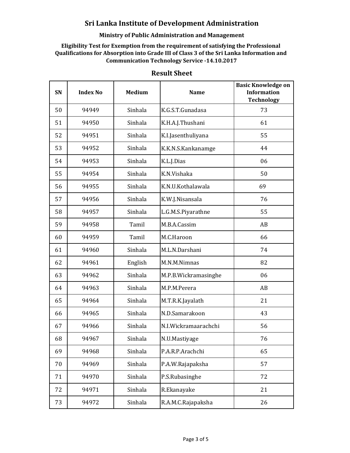## **Ministry of Public Administration and Management**

**Eligibility Test for Exemption from the requirement of satisfying the Professional Qualifications for Absorption into Grade III of Class 3 of the Sri Lanka Information and Communication Technology Service -14.10.2017**

| SN | <b>Index No</b> | <b>Medium</b> | <b>Name</b>          | <b>Basic Knowledge on</b><br><b>Information</b><br><b>Technology</b> |
|----|-----------------|---------------|----------------------|----------------------------------------------------------------------|
| 50 | 94949           | Sinhala       | K.G.S.T.Gunadasa     | 73                                                                   |
| 51 | 94950           | Sinhala       | K.H.A.J.Thushani     | 61                                                                   |
| 52 | 94951           | Sinhala       | K.I.Jasenthuliyana   | 55                                                                   |
| 53 | 94952           | Sinhala       | K.K.N.S.Kankanamge   | 44                                                                   |
| 54 | 94953           | Sinhala       | K.L.J.Dias           | 06                                                                   |
| 55 | 94954           | Sinhala       | K.N.Vishaka          | 50                                                                   |
| 56 | 94955           | Sinhala       | K.N.U.Kothalawala    | 69                                                                   |
| 57 | 94956           | Sinhala       | K.W.J.Nisansala      | 76                                                                   |
| 58 | 94957           | Sinhala       | L.G.M.S.Piyarathne   | 55                                                                   |
| 59 | 94958           | Tamil         | M.B.A.Cassim         | AB                                                                   |
| 60 | 94959           | Tamil         | M.C.Haroon           | 66                                                                   |
| 61 | 94960           | Sinhala       | M.L.N.Darshani       | 74                                                                   |
| 62 | 94961           | English       | M.N.M.Nimnas         | 82                                                                   |
| 63 | 94962           | Sinhala       | M.P.B.Wickramasinghe | 06                                                                   |
| 64 | 94963           | Sinhala       | M.P.M.Perera         | AB                                                                   |
| 65 | 94964           | Sinhala       | M.T.R.K.Jayalath     | 21                                                                   |
| 66 | 94965           | Sinhala       | N.D.Samarakoon       | 43                                                                   |
| 67 | 94966           | Sinhala       | N.I.Wickramaarachchi | 56                                                                   |
| 68 | 94967           | Sinhala       | N.U.Mastiyage        | 76                                                                   |
| 69 | 94968           | Sinhala       | P.A.R.P.Arachchi     | 65                                                                   |
| 70 | 94969           | Sinhala       | P.A.W.Rajapaksha     | 57                                                                   |
| 71 | 94970           | Sinhala       | P.S.Rubasinghe       | 72                                                                   |
| 72 | 94971           | Sinhala       | R.Ekanayake          | 21                                                                   |
| 73 | 94972           | Sinhala       | R.A.M.C.Rajapaksha   | 26                                                                   |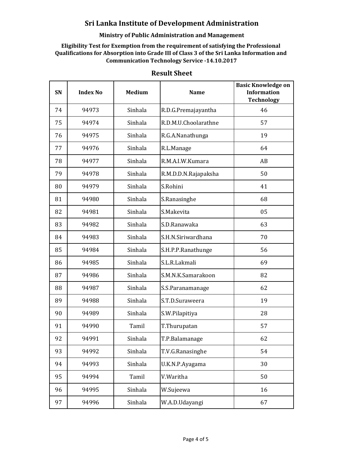## **Ministry of Public Administration and Management**

**Eligibility Test for Exemption from the requirement of satisfying the Professional Qualifications for Absorption into Grade III of Class 3 of the Sri Lanka Information and Communication Technology Service -14.10.2017**

| SN | <b>Index No</b> | <b>Medium</b> | <b>Name</b>          | <b>Basic Knowledge on</b><br><b>Information</b><br><b>Technology</b> |
|----|-----------------|---------------|----------------------|----------------------------------------------------------------------|
| 74 | 94973           | Sinhala       | R.D.G.Premajayantha  | 46                                                                   |
| 75 | 94974           | Sinhala       | R.D.M.U.Choolarathne | 57                                                                   |
| 76 | 94975           | Sinhala       | R.G.A.Nanathunga     | 19                                                                   |
| 77 | 94976           | Sinhala       | R.L.Manage           | 64                                                                   |
| 78 | 94977           | Sinhala       | R.M.A.I.W.Kumara     | AB                                                                   |
| 79 | 94978           | Sinhala       | R.M.D.D.N.Rajapaksha | 50                                                                   |
| 80 | 94979           | Sinhala       | S.Rohini             | 41                                                                   |
| 81 | 94980           | Sinhala       | S.Ranasinghe         | 68                                                                   |
| 82 | 94981           | Sinhala       | S.Makevita           | 05                                                                   |
| 83 | 94982           | Sinhala       | S.D.Ranawaka         | 63                                                                   |
| 84 | 94983           | Sinhala       | S.H.N.Siriwardhana   | 70                                                                   |
| 85 | 94984           | Sinhala       | S.H.P.P.Ranathunge   | 56                                                                   |
| 86 | 94985           | Sinhala       | S.L.R.Lakmali        | 69                                                                   |
| 87 | 94986           | Sinhala       | S.M.N.K.Samarakoon   | 82                                                                   |
| 88 | 94987           | Sinhala       | S.S.Paranamanage     | 62                                                                   |
| 89 | 94988           | Sinhala       | S.T.D.Suraweera      | 19                                                                   |
| 90 | 94989           | Sinhala       | S.W.Pilapitiya       | 28                                                                   |
| 91 | 94990           | Tamil         | T.Thurupatan         | 57                                                                   |
| 92 | 94991           | Sinhala       | T.P.Balamanage       | 62                                                                   |
| 93 | 94992           | Sinhala       | T.V.G.Ranasinghe     | 54                                                                   |
| 94 | 94993           | Sinhala       | U.K.N.P.Ayagama      | 30                                                                   |
| 95 | 94994           | Tamil         | V.Waritha            | 50                                                                   |
| 96 | 94995           | Sinhala       | W.Sujeewa            | 16                                                                   |
| 97 | 94996           | Sinhala       | W.A.D.Udayangi       | 67                                                                   |